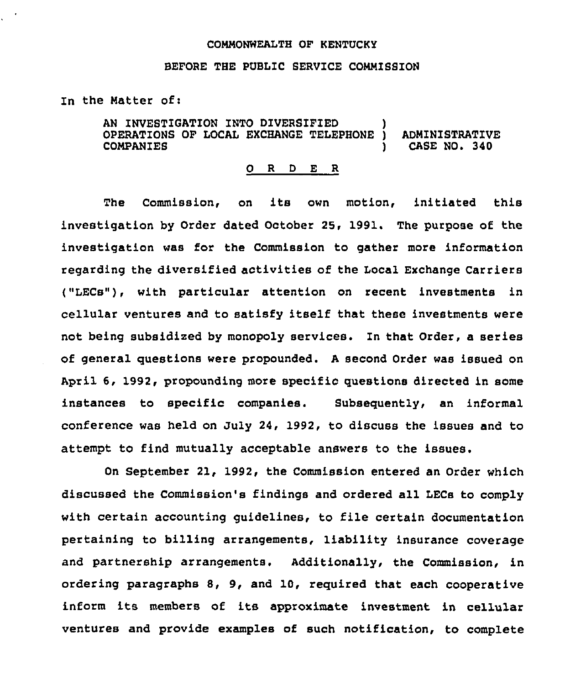## COMMONWEALTH OF KENTUCKY

## BEFORE THE PUBLIC SERVICE COMMISSION

In the Natter of:

AN INVESTIGATION INTO DIVERSIFIED OPERATIONS OF ZOCAL EXCHANGE TELEPHONE ) ADMINISTRATIVE CASE NO. 340

## 0 <sup>R</sup> <sup>D</sup> E R

The Commission, on its own motion, initiated this investigation by Order dated October 25, 1991. The purpose of the investigation was for the Commission to gather more information regarding the diversified activities of the Local Exchange Carriers ("LECs"), with particular attention on recent investments in cellular ventures and to satisfy itself that these investments were not being subsidized by monopoly services. In that Order, a series of general questions were propounded. <sup>A</sup> second Order was issued on April 6, 1992, propounding more specific questions directed in some instances to specific companies. Subsequently, an informal conference was held on July 24, 1992, to discuss the issues and to attempt to find mutually acceptable answers to the issues.

On September 21, 1992, the Commission entered an Order which discussed the Commission's findings and ordered all LECs to comply with certain accounting guidelines, to file certain documentation pertaining to billing arrangements, liability insurance coverage and partnership arrangements. Additionally, the Commission, in ordering paragraphs 8, 9, and 10, required that each cooperative inform its members of its approximate investment in cellular ventures and provide examples of such notification, to complete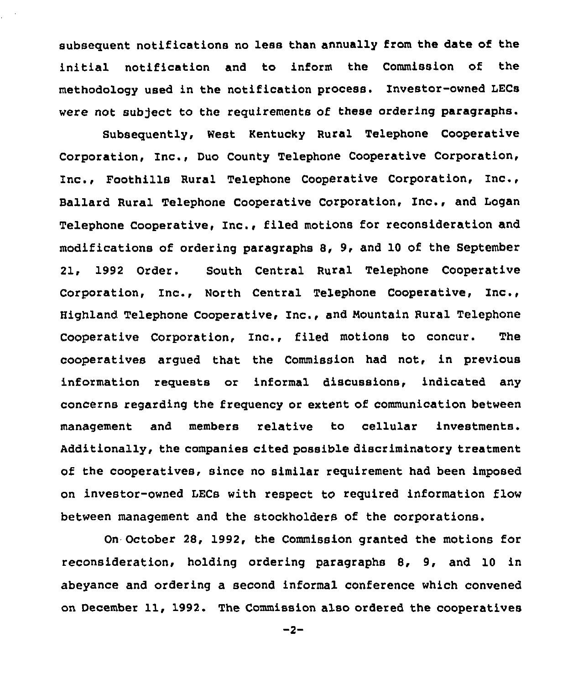subsequent notifications no less than annually from the date of the initial notification and to inform the Commission of the methodology used in the notification process. Investor-owned LECs were not subject to the requirements of these ordering paragraphs.

Subsequently, West Kentucky Rural Telephone Cooperative Corporation, Inc., Duo county Telephone Cooperative Corporation, Inc., Foothills Rural Telephone Cooperative Corporation, Inc., Ballard Rural Telephone Cooperative Corporation, Inc., and Logan Telephone Cooperative, Inc., filed motions for reconsideration and modifications of ordering paragraphs 8, 9, and 10 of the September 21, 1992 Order. South Central Rural Telephone Cooperative Corporation, Inc., North Central Telephone Cooperative, Inc., Highland Telephone Cooperative, Inc., and Nountain Rural Telephone Cooperative Corporation, Inc., filed motions to concur. The cooperatives argued that the Commission had not, in previous information requests or informal discussions, indicated any concerns regarding the frequency or extent of communication between management and members relative to cellular investments. Additionally, the companies cited possible discriminatory treatment of the cooperatives, since no similar requirement had been imposed on investor-owned LECs with respect to required information flow between management and the stockholders of the corporations.

On October 28, 1992, the Commission granted the motions for reconsideration, holding ordering paragraphs 8, 9, and 10 in abeyance and ordering a second informal conference which convened on December 11, 1992. The Commission also ordered the cooperatives

 $-2-$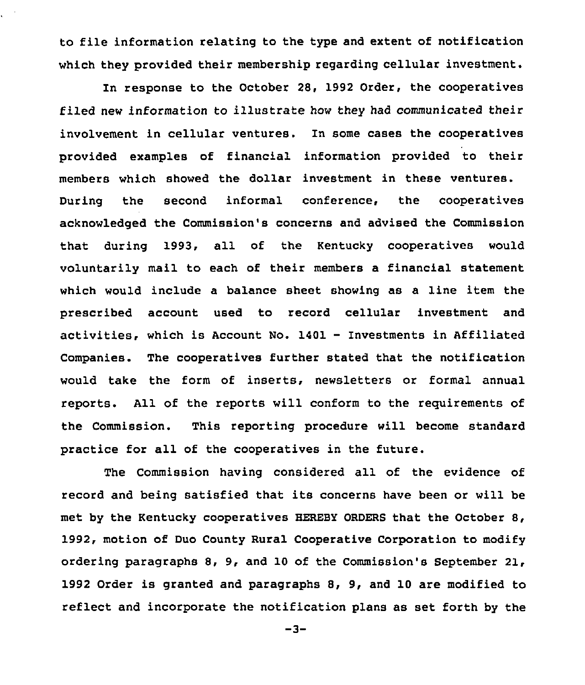to file information relating to the type and extent of notification which they provided their membership regarding cellular investment.

ł.

In response to the October 2S, 1992 Order, the cooperatives filed new information to illustrate how they had communicated their involvement in cellular ventures. In some cases the cooperatives provided examples of financial information provided to their members which showed the dollar investment in these ventures. During the second informal conference, the cooperatives acknowledged the Commission's concerns and advised the Commission that during 1993, all of the Kentucky cooperatives would voluntarily mail to each of their members a financial statement which would include a balance sheet showing as a line item the prescribed account used to record cellular investment and activities, which is Account No. 1401 — Investments in Affiliated Companies. The cooperatives further stated that the notification would take the form of inserts, newsletters or formal annual reports. All of the reports will conform to the requirements of the Commission. This reporting procedure will become standard practice for all of the cooperatives in the future.

The Commission having considered all of the evidence of record and being satisfied that its concerns have been or will be met by the Kentucky cooperatives HEREBY ORDERS that the October 8, 1992, motion of Duo County Rural Cooperative Corporation to modify ordering paragraphs 8, 9, and 10 of the Commission's September 21, 1992 Order is granted and paragraphs S, 9, and 10 are modified to reflect and incorporate the notification plans as set forth by the

 $-3-$